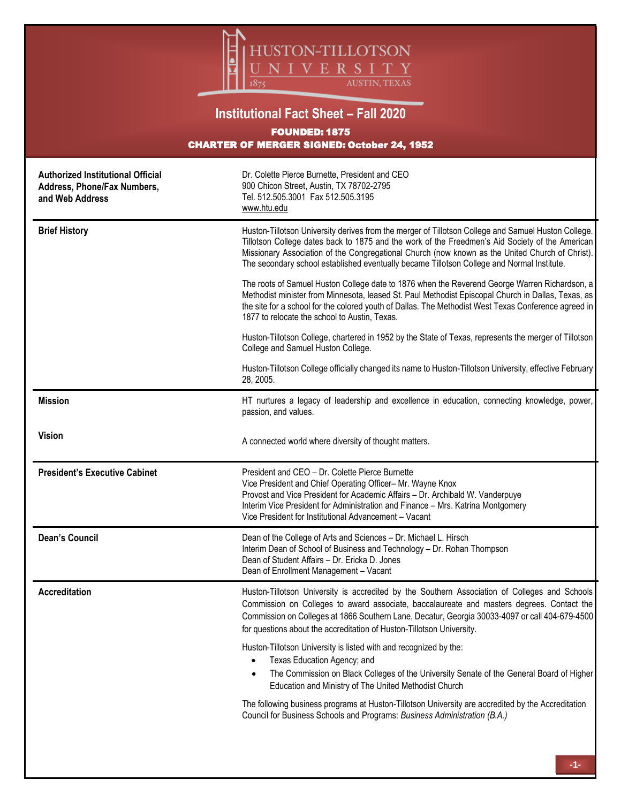

## **Institutional Fact Sheet – Fall 2020** FOUNDED: 1875 CHARTER OF MERGER SIGNED: October 24, 1952

| <b>Authorized Institutional Official</b><br>Address, Phone/Fax Numbers,<br>and Web Address | Dr. Colette Pierce Burnette, President and CEO<br>900 Chicon Street, Austin, TX 78702-2795<br>Tel. 512.505.3001 Fax 512.505.3195<br>www.htu.edu                                                                                                                                                                                                                                                         |  |  |  |  |
|--------------------------------------------------------------------------------------------|---------------------------------------------------------------------------------------------------------------------------------------------------------------------------------------------------------------------------------------------------------------------------------------------------------------------------------------------------------------------------------------------------------|--|--|--|--|
| <b>Brief History</b>                                                                       | Huston-Tillotson University derives from the merger of Tillotson College and Samuel Huston College.<br>Tillotson College dates back to 1875 and the work of the Freedmen's Aid Society of the American<br>Missionary Association of the Congregational Church (now known as the United Church of Christ).<br>The secondary school established eventually became Tillotson College and Normal Institute. |  |  |  |  |
|                                                                                            | The roots of Samuel Huston College date to 1876 when the Reverend George Warren Richardson, a<br>Methodist minister from Minnesota, leased St. Paul Methodist Episcopal Church in Dallas, Texas, as<br>the site for a school for the colored youth of Dallas. The Methodist West Texas Conference agreed in<br>1877 to relocate the school to Austin, Texas.                                            |  |  |  |  |
|                                                                                            | Huston-Tillotson College, chartered in 1952 by the State of Texas, represents the merger of Tillotson<br>College and Samuel Huston College.                                                                                                                                                                                                                                                             |  |  |  |  |
|                                                                                            | Huston-Tillotson College officially changed its name to Huston-Tillotson University, effective February<br>28, 2005.                                                                                                                                                                                                                                                                                    |  |  |  |  |
| <b>Mission</b>                                                                             | HT nurtures a legacy of leadership and excellence in education, connecting knowledge, power,<br>passion, and values.                                                                                                                                                                                                                                                                                    |  |  |  |  |
| <b>Vision</b>                                                                              | A connected world where diversity of thought matters.                                                                                                                                                                                                                                                                                                                                                   |  |  |  |  |
| <b>President's Executive Cabinet</b>                                                       | President and CEO - Dr. Colette Pierce Burnette<br>Vice President and Chief Operating Officer-Mr. Wayne Knox<br>Provost and Vice President for Academic Affairs - Dr. Archibald W. Vanderpuye<br>Interim Vice President for Administration and Finance - Mrs. Katrina Montgomery<br>Vice President for Institutional Advancement - Vacant                                                               |  |  |  |  |
| <b>Dean's Council</b>                                                                      | Dean of the College of Arts and Sciences - Dr. Michael L. Hirsch<br>Interim Dean of School of Business and Technology - Dr. Rohan Thompson                                                                                                                                                                                                                                                              |  |  |  |  |
|                                                                                            | Dean of Student Affairs - Dr. Ericka D. Jones<br>Dean of Enrollment Management - Vacant                                                                                                                                                                                                                                                                                                                 |  |  |  |  |
| <b>Accreditation</b>                                                                       | Huston-Tillotson University is accredited by the Southern Association of Colleges and Schools<br>Commission on Colleges to award associate, baccalaureate and masters degrees. Contact the<br>Commission on Colleges at 1866 Southern Lane, Decatur, Georgia 30033-4097 or call 404-679-4500<br>for questions about the accreditation of Huston-Tillotson University.                                   |  |  |  |  |
|                                                                                            | Huston-Tillotson University is listed with and recognized by the:<br>Texas Education Agency; and<br>The Commission on Black Colleges of the University Senate of the General Board of Higher<br>Education and Ministry of The United Methodist Church                                                                                                                                                   |  |  |  |  |